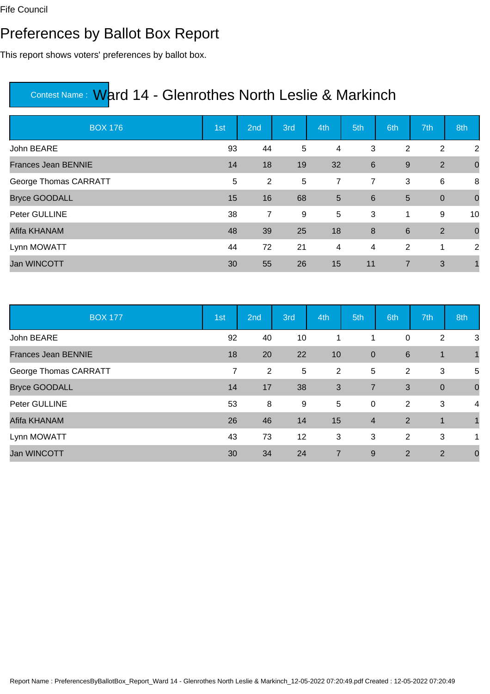### Preferences by Ballot Box Report

This report shows voters' preferences by ballot box.

| <b>BOX 176</b>             | 1st | 2nd            | 3rd | 4th            | 5th            | 6th            | 7th         | 8th         |
|----------------------------|-----|----------------|-----|----------------|----------------|----------------|-------------|-------------|
| John BEARE                 | 93  | 44             | 5   | $\overline{4}$ | 3              | 2              | 2           | 2           |
| <b>Frances Jean BENNIE</b> | 14  | 18             | 19  | 32             | 6              | 9              | 2           | $\mathbf 0$ |
| George Thomas CARRATT      | 5   | 2              | 5   | 7              | $\overline{7}$ | 3              | 6           | 8           |
| <b>Bryce GOODALL</b>       | 15  | 16             | 68  | 5              | 6              | 5              | $\mathbf 0$ | $\mathbf 0$ |
| Peter GULLINE              | 38  | $\overline{7}$ | 9   | 5              | 3              | 1              | 9           | 10          |
| Afifa KHANAM               | 48  | 39             | 25  | 18             | 8              | $6\phantom{1}$ | 2           | $\mathbf 0$ |
| Lynn MOWATT                | 44  | 72             | 21  | 4              | 4              | 2              | 1           | 2           |
| <b>Jan WINCOTT</b>         | 30  | 55             | 26  | 15             | 11             | 7              | 3           |             |

| <b>BOX 177</b>             | 1st | 2nd            | 3rd | 4th            | 5th            | 6th             | 7th         | 8th            |
|----------------------------|-----|----------------|-----|----------------|----------------|-----------------|-------------|----------------|
| John BEARE                 | 92  | 40             | 10  | 1              | 1              | 0               | 2           | 3              |
| <b>Frances Jean BENNIE</b> | 18  | 20             | 22  | 10             | $\mathbf{0}$   | $6\phantom{1}6$ | $\mathbf 1$ |                |
| George Thomas CARRATT      | 7   | $\overline{2}$ | 5   | $\overline{2}$ | 5              | 2               | 3           | 5              |
| <b>Bryce GOODALL</b>       | 14  | 17             | 38  | 3              | $\overline{7}$ | 3               | $\mathbf 0$ | $\mathbf 0$    |
| Peter GULLINE              | 53  | 8              | 9   | 5              | $\mathbf 0$    | 2               | 3           | 4              |
| Afifa KHANAM               | 26  | 46             | 14  | 15             | $\overline{4}$ | 2               | $\mathbf 1$ | $\overline{1}$ |
| Lynn MOWATT                | 43  | 73             | 12  | 3              | 3              | 2               | 3           | 1              |
| <b>Jan WINCOTT</b>         | 30  | 34             | 24  | $\overline{7}$ | 9              | $\overline{2}$  | 2           | $\mathbf 0$    |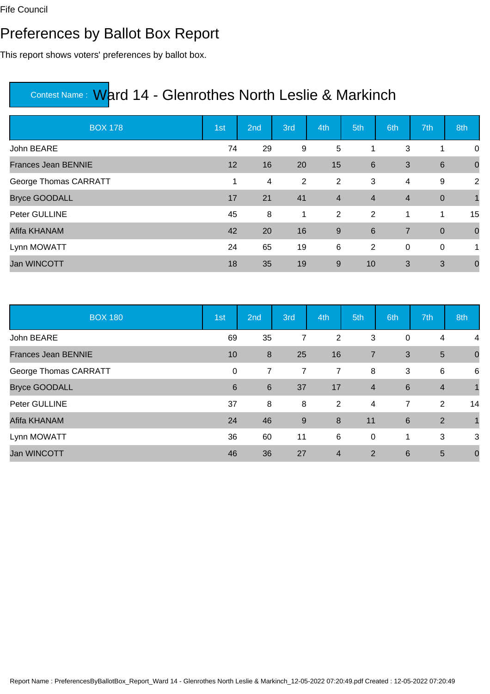### Preferences by Ballot Box Report

This report shows voters' preferences by ballot box.

| <b>BOX 178</b>             | 1st | 2nd | 3rd | 4th            | 5th            | 6th            | 7th             | 8th          |
|----------------------------|-----|-----|-----|----------------|----------------|----------------|-----------------|--------------|
| John BEARE                 | 74  | 29  | 9   | 5              |                | 3              | 1               | 0            |
| <b>Frances Jean BENNIE</b> | 12  | 16  | 20  | 15             | 6              | 3              | $6\phantom{1}6$ | $\mathbf 0$  |
| George Thomas CARRATT      | 1   | 4   | 2   | 2              | 3              | 4              | 9               | 2            |
| <b>Bryce GOODALL</b>       | 17  | 21  | 41  | $\overline{4}$ | $\overline{4}$ | $\overline{4}$ | $\mathbf 0$     | $\mathbf{1}$ |
| Peter GULLINE              | 45  | 8   | 1   | 2              | 2              | 1              | 1               | 15           |
| Afifa KHANAM               | 42  | 20  | 16  | $\overline{9}$ | 6              | $\overline{7}$ | $\overline{0}$  | $\mathbf 0$  |
| Lynn MOWATT                | 24  | 65  | 19  | 6              | $\overline{2}$ | $\mathbf 0$    | $\overline{0}$  | 1            |
| <b>Jan WINCOTT</b>         | 18  | 35  | 19  | 9              | 10             | 3              | 3               | $\mathbf 0$  |

| <b>BOX 180</b>             | 1st         | 2nd              | 3rd            | 4th              | 5th            | 6th            | 7th            | 8th          |
|----------------------------|-------------|------------------|----------------|------------------|----------------|----------------|----------------|--------------|
| John BEARE                 | 69          | 35               | 7              | 2                | 3              | 0              | 4              | 4            |
| <b>Frances Jean BENNIE</b> | 10          | $\boldsymbol{8}$ | 25             | 16               | $\overline{7}$ | 3              | $5\phantom{.}$ | $\mathbf 0$  |
| George Thomas CARRATT      | $\mathbf 0$ | $\overline{7}$   | $\overline{7}$ | 7                | 8              | 3              | 6              | 6            |
| <b>Bryce GOODALL</b>       | 6           | $6\phantom{1}6$  | 37             | 17               | $\overline{4}$ | 6              | $\overline{4}$ | $\mathbf{1}$ |
| Peter GULLINE              | 37          | 8                | 8              | 2                | $\overline{4}$ | $\overline{7}$ | 2              | 14           |
| Afifa KHANAM               | 24          | 46               | 9              | $\boldsymbol{8}$ | 11             | 6              | 2              | $\mathbf{1}$ |
| Lynn MOWATT                | 36          | 60               | 11             | 6                | 0              | 1              | 3              | 3            |
| <b>Jan WINCOTT</b>         | 46          | 36               | 27             | $\overline{4}$   | 2              | 6              | 5              | $\mathbf 0$  |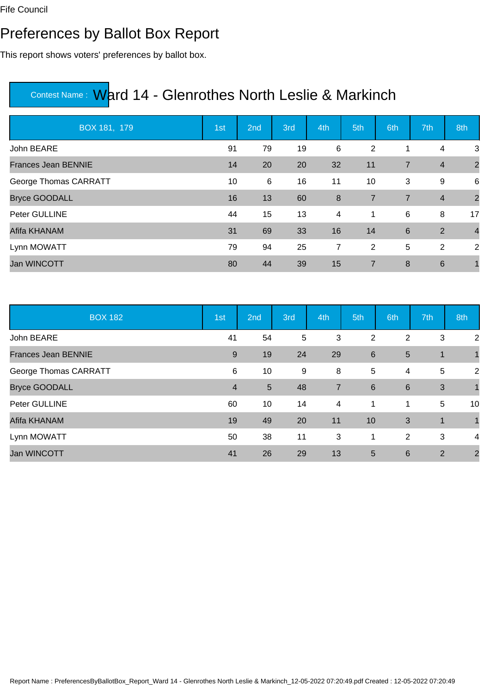### Preferences by Ballot Box Report

This report shows voters' preferences by ballot box.

| BOX 181, 179               | 1st | 2nd | 3rd | 4th              | 5th            | 6th            | 7th             | 8th            |
|----------------------------|-----|-----|-----|------------------|----------------|----------------|-----------------|----------------|
| John BEARE                 | 91  | 79  | 19  | 6                | 2              | 1              | 4               | 3              |
| <b>Frances Jean BENNIE</b> | 14  | 20  | 20  | 32               | 11             | $\overline{7}$ | $\overline{4}$  | $\overline{2}$ |
| George Thomas CARRATT      | 10  | 6   | 16  | 11               | 10             | 3              | 9               | 6              |
| <b>Bryce GOODALL</b>       | 16  | 13  | 60  | $\boldsymbol{8}$ | $\overline{7}$ | $\overline{7}$ | $\overline{4}$  | $\overline{2}$ |
| Peter GULLINE              | 44  | 15  | 13  | 4                | $\mathbf 1$    | 6              | 8               | 17             |
| Afifa KHANAM               | 31  | 69  | 33  | 16               | 14             | 6              | 2               | $\overline{4}$ |
| Lynn MOWATT                | 79  | 94  | 25  | 7                | $\overline{2}$ | 5              | 2               | 2              |
| <b>Jan WINCOTT</b>         | 80  | 44  | 39  | 15               | $\overline{7}$ | 8              | $6\phantom{1}6$ |                |

| <b>BOX 182</b>             | 1st            | 2nd             | 3rd            | 4th                     | 5th            | 6th             | 7th | 8th            |
|----------------------------|----------------|-----------------|----------------|-------------------------|----------------|-----------------|-----|----------------|
| John BEARE                 | 41             | 54              | $\overline{5}$ | 3                       | $\overline{2}$ | 2               | 3   | 2              |
| <b>Frances Jean BENNIE</b> | 9              | 19              | 24             | 29                      | 6              | 5               | 1   |                |
| George Thomas CARRATT      | 6              | 10              | 9              | 8                       | 5              | 4               | 5   | 2              |
| <b>Bryce GOODALL</b>       | $\overline{4}$ | $5\phantom{.0}$ | 48             | $\overline{7}$          | 6              | $6\phantom{1}6$ | 3   | 1              |
| Peter GULLINE              | 60             | 10              | 14             | $\overline{\mathbf{4}}$ | 1              | 1               | 5   | 10             |
| Afifa KHANAM               | 19             | 49              | 20             | 11                      | 10             | 3               | 1   |                |
| Lynn MOWATT                | 50             | 38              | 11             | 3                       | 1              | 2               | 3   | 4              |
| <b>Jan WINCOTT</b>         | 41             | 26              | 29             | 13                      | 5              | 6               | 2   | $\overline{2}$ |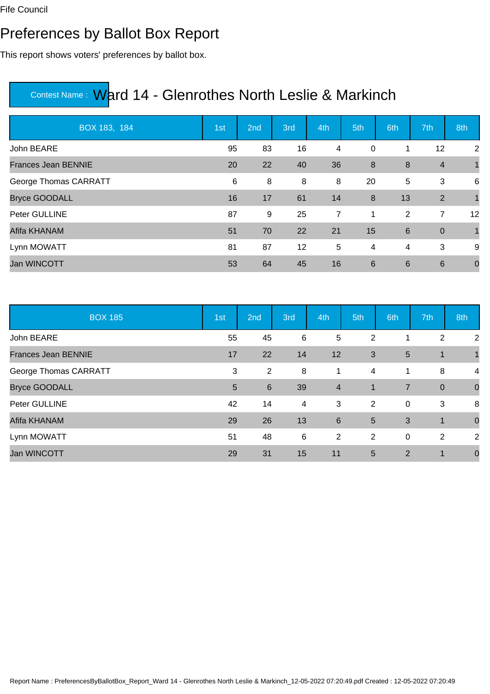### Preferences by Ballot Box Report

This report shows voters' preferences by ballot box.

| BOX 183, 184               | 1st | 2nd | 3rd | 4th | 5th            | 6th | 7th             | 8th            |
|----------------------------|-----|-----|-----|-----|----------------|-----|-----------------|----------------|
| John BEARE                 | 95  | 83  | 16  | 4   | 0              | 1   | 12              | 2              |
| <b>Frances Jean BENNIE</b> | 20  | 22  | 40  | 36  | 8              | 8   | $\overline{4}$  | $\overline{1}$ |
| George Thomas CARRATT      | 6   | 8   | 8   | 8   | 20             | 5   | 3               | 6              |
| <b>Bryce GOODALL</b>       | 16  | 17  | 61  | 14  | 8              | 13  | 2               | $\overline{1}$ |
| Peter GULLINE              | 87  | 9   | 25  | 7   | $\mathbf 1$    | 2   | 7               | 12             |
| Afifa KHANAM               | 51  | 70  | 22  | 21  | 15             | 6   | $\overline{0}$  | $\overline{1}$ |
| Lynn MOWATT                | 81  | 87  | 12  | 5   | $\overline{4}$ | 4   | 3               | 9              |
| <b>Jan WINCOTT</b>         | 53  | 64  | 45  | 16  | $6\phantom{1}$ | 6   | $6\phantom{1}6$ | $\mathbf 0$    |

| <b>BOX 185</b>             | 1st | 2nd             | 3rd | 4th                     | 5th            | 6th            | 7th         | 8th         |
|----------------------------|-----|-----------------|-----|-------------------------|----------------|----------------|-------------|-------------|
| John BEARE                 | 55  | 45              | 6   | 5                       | $\overline{2}$ |                | 2           | 2           |
| <b>Frances Jean BENNIE</b> | 17  | 22              | 14  | 12                      | 3              | 5              | $\mathbf 1$ |             |
| George Thomas CARRATT      | 3   | $\overline{2}$  | 8   | 1                       | 4              | 1              | 8           | 4           |
| <b>Bryce GOODALL</b>       | 5   | $6\phantom{1}6$ | 39  | $\overline{\mathbf{4}}$ | $\mathbf{1}$   | $\overline{7}$ | $\mathbf 0$ | $\mathbf 0$ |
| Peter GULLINE              | 42  | 14              | 4   | 3                       | 2              | $\mathbf 0$    | 3           | 8           |
| Afifa KHANAM               | 29  | 26              | 13  | 6                       | $5\phantom{1}$ | 3              | 1           | $\mathbf 0$ |
| Lynn MOWATT                | 51  | 48              | 6   | 2                       | 2              | $\mathbf 0$    | 2           | 2           |
| <b>Jan WINCOTT</b>         | 29  | 31              | 15  | 11                      | $5\phantom{1}$ | 2              | 1           | $\mathbf 0$ |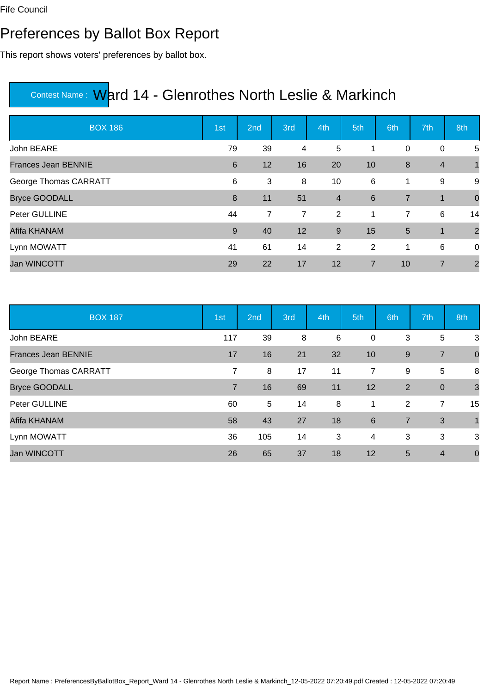#### Preferences by Ballot Box Report

This report shows voters' preferences by ballot box.

| <b>BOX 186</b>             | 1st | 2nd            | 3rd            | 4th            | 5th            | 6th            | 7th            | 8th            |
|----------------------------|-----|----------------|----------------|----------------|----------------|----------------|----------------|----------------|
| John BEARE                 | 79  | 39             | 4              | 5              |                | $\mathbf 0$    | $\pmb{0}$      | 5              |
| <b>Frances Jean BENNIE</b> | 6   | 12             | 16             | 20             | 10             | 8              | $\overline{4}$ | $\overline{1}$ |
| George Thomas CARRATT      | 6   | 3              | 8              | 10             | 6              | 1              | 9              | 9              |
| <b>Bryce GOODALL</b>       | 8   | 11             | 51             | $\overline{4}$ | 6              | $\overline{7}$ | $\mathbf 1$    | $\mathbf 0$    |
| Peter GULLINE              | 44  | $\overline{7}$ | $\overline{7}$ | $\overline{2}$ | $\overline{1}$ | $\overline{7}$ | 6              | 14             |
| Afifa KHANAM               | 9   | 40             | 12             | 9              | 15             | 5              | $\mathbf 1$    | $\overline{2}$ |
| Lynn MOWATT                | 41  | 61             | 14             | 2              | $\overline{2}$ | 1              | 6              | 0              |
| <b>Jan WINCOTT</b>         | 29  | 22             | 17             | 12             | $\overline{7}$ | 10             | $\overline{7}$ | $\overline{2}$ |

| <b>BOX 187</b>             | 1st            | 2nd | 3rd | 4th | 5th            | 6th            | 7th            | 8th            |
|----------------------------|----------------|-----|-----|-----|----------------|----------------|----------------|----------------|
| John BEARE                 | 117            | 39  | 8   | 6   | $\mathbf 0$    | 3              | 5              | 3              |
| <b>Frances Jean BENNIE</b> | 17             | 16  | 21  | 32  | 10             | 9              | $\overline{7}$ | $\mathbf 0$    |
| George Thomas CARRATT      | $\overline{7}$ | 8   | 17  | 11  | $\overline{7}$ | 9              | 5              | 8              |
| <b>Bryce GOODALL</b>       | $\overline{7}$ | 16  | 69  | 11  | 12             | $\overline{2}$ | $\overline{0}$ | $\overline{3}$ |
| Peter GULLINE              | 60             | 5   | 14  | 8   | 1              | 2              | $\overline{7}$ | 15             |
| Afifa KHANAM               | 58             | 43  | 27  | 18  | 6              | $\overline{7}$ | $\mathbf{3}$   | $\mathbf{1}$   |
| Lynn MOWATT                | 36             | 105 | 14  | 3   | 4              | 3              | 3              | 3              |
| <b>Jan WINCOTT</b>         | 26             | 65  | 37  | 18  | 12             | 5              | $\overline{4}$ | $\mathbf 0$    |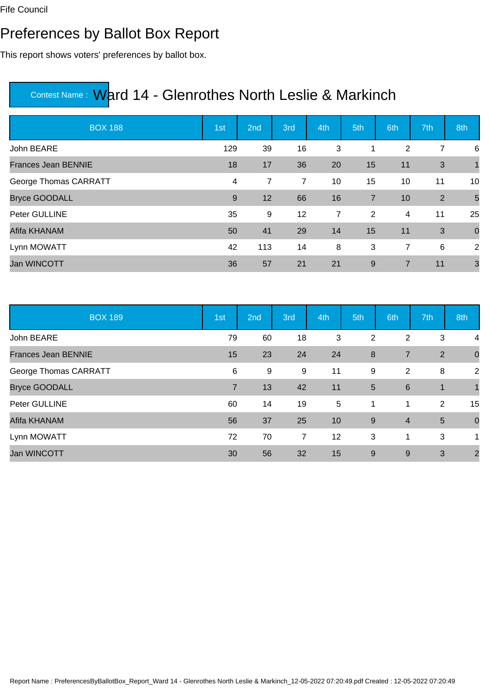### Preferences by Ballot Box Report

This report shows voters' preferences by ballot box.

| <b>BOX 188</b>             | 1st | 2nd | 3rd | 4th | 5th            | 6th            | 7th          | 8th             |
|----------------------------|-----|-----|-----|-----|----------------|----------------|--------------|-----------------|
| John BEARE                 | 129 | 39  | 16  | 3   |                | 2              | 7            | 6               |
| <b>Frances Jean BENNIE</b> | 18  | 17  | 36  | 20  | 15             | 11             | 3            | $\mathbf{1}$    |
| George Thomas CARRATT      | 4   | 7   | 7   | 10  | 15             | 10             | 11           | 10              |
| <b>Bryce GOODALL</b>       | 9   | 12  | 66  | 16  | $\overline{7}$ | 10             | 2            | $5\overline{5}$ |
| Peter GULLINE              | 35  | 9   | 12  | 7   | $\overline{2}$ | 4              | 11           | 25              |
| Afifa KHANAM               | 50  | 41  | 29  | 14  | 15             | 11             | $\mathbf{3}$ | $\mathbf 0$     |
| Lynn MOWATT                | 42  | 113 | 14  | 8   | 3              | $\overline{7}$ | 6            | 2               |
| <b>Jan WINCOTT</b>         | 36  | 57  | 21  | 21  | $9\,$          | $\overline{7}$ | 11           | $\mathbf{3}$    |

| <b>BOX 189</b>             | 1st            | 2nd | 3rd            | 4th | 5th            | 6th             | 7th            | 8th                     |
|----------------------------|----------------|-----|----------------|-----|----------------|-----------------|----------------|-------------------------|
| John BEARE                 | 79             | 60  | 18             | 3   | 2              | 2               | 3              | 4                       |
| <b>Frances Jean BENNIE</b> | 15             | 23  | 24             | 24  | 8              | $\overline{7}$  | 2              | $\mathbf 0$             |
| George Thomas CARRATT      | 6              | 9   | 9              | 11  | 9              | 2               | 8              | $\overline{2}$          |
| <b>Bryce GOODALL</b>       | $\overline{7}$ | 13  | 42             | 11  | $5\phantom{1}$ | $6\phantom{1}6$ | $\mathbf 1$    |                         |
| Peter GULLINE              | 60             | 14  | 19             | 5   | 1              | $\mathbf 1$     | 2              | 15                      |
| Afifa KHANAM               | 56             | 37  | 25             | 10  | 9              | $\overline{4}$  | $\overline{5}$ | $\mathbf 0$             |
| Lynn MOWATT                | 72             | 70  | $\overline{7}$ | 12  | 3              | 1               | 3              | 1                       |
| <b>Jan WINCOTT</b>         | 30             | 56  | 32             | 15  | 9              | 9               | 3              | $\overline{\mathbf{c}}$ |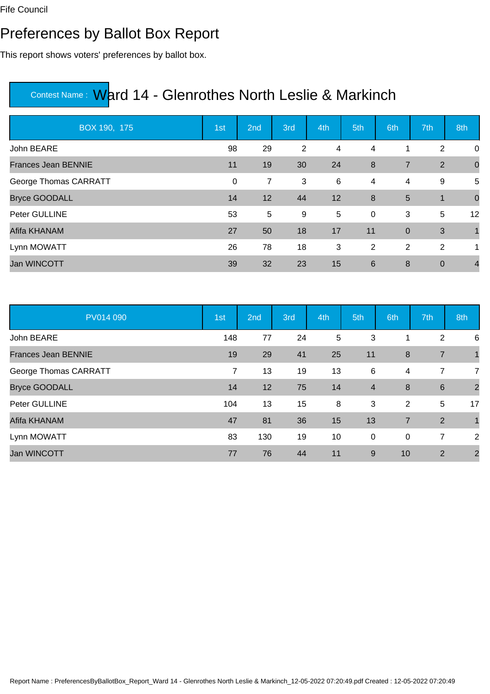### Preferences by Ballot Box Report

This report shows voters' preferences by ballot box.

| BOX 190, 175               | 1st         | 2nd            | 3rd | 4th | 5th            | 6th            | 7th            | 8th            |
|----------------------------|-------------|----------------|-----|-----|----------------|----------------|----------------|----------------|
| John BEARE                 | 98          | 29             | 2   | 4   | 4              | 1              | 2              | 0              |
| <b>Frances Jean BENNIE</b> | 11          | 19             | 30  | 24  | 8              | $\overline{7}$ | 2              | $\mathbf 0$    |
| George Thomas CARRATT      | $\mathbf 0$ | 7              | 3   | 6   | $\overline{4}$ | 4              | 9              | 5              |
| <b>Bryce GOODALL</b>       | 14          | 12             | 44  | 12  | 8              | 5              | $\mathbf 1$    | $\mathbf 0$    |
| Peter GULLINE              | 53          | $\overline{5}$ | 9   | 5   | $\mathbf 0$    | 3              | 5              | 12             |
| Afifa KHANAM               | 27          | 50             | 18  | 17  | 11             | $\overline{0}$ | 3              | $\overline{1}$ |
| Lynn MOWATT                | 26          | 78             | 18  | 3   | 2              | $\overline{2}$ | 2              | $\mathbf 1$    |
| Jan WINCOTT                | 39          | 32             | 23  | 15  | 6              | 8              | $\overline{0}$ | $\overline{4}$ |

| PV014 090                  | 1st | 2nd | 3rd | 4th | 5th            | 6th            | 7th             | 8th            |
|----------------------------|-----|-----|-----|-----|----------------|----------------|-----------------|----------------|
| John BEARE                 | 148 | 77  | 24  | 5   | 3              |                | 2               | 6              |
| <b>Frances Jean BENNIE</b> | 19  | 29  | 41  | 25  | 11             | 8              | $\overline{7}$  |                |
| George Thomas CARRATT      | 7   | 13  | 19  | 13  | 6              | 4              | 7               | 7              |
| <b>Bryce GOODALL</b>       | 14  | 12  | 75  | 14  | $\overline{4}$ | 8              | $6\overline{6}$ | $\overline{2}$ |
| Peter GULLINE              | 104 | 13  | 15  | 8   | 3              | 2              | 5               | 17             |
| Afifa KHANAM               | 47  | 81  | 36  | 15  | 13             | $\overline{7}$ | 2               | $\overline{1}$ |
| Lynn MOWATT                | 83  | 130 | 19  | 10  | 0              | $\mathbf 0$    | 7               | 2              |
| <b>Jan WINCOTT</b>         | 77  | 76  | 44  | 11  | 9              | 10             | 2               | $\overline{2}$ |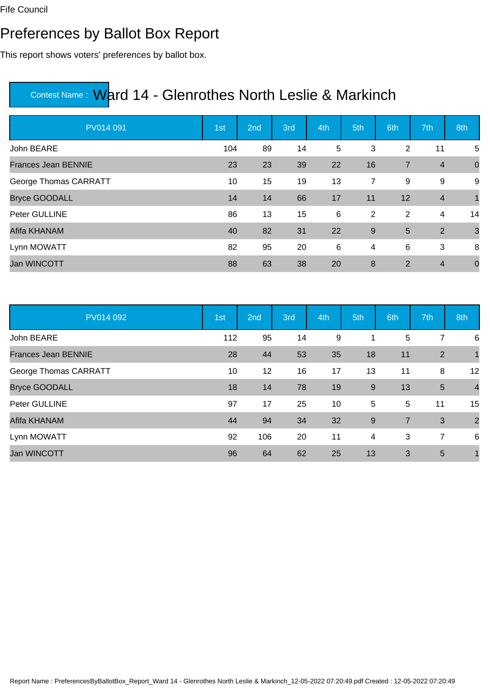### Preferences by Ballot Box Report

This report shows voters' preferences by ballot box.

| PV014 091                  | 1st | 2nd | 3rd | 4th | 5th            | 6th            | 7th            | 8th            |
|----------------------------|-----|-----|-----|-----|----------------|----------------|----------------|----------------|
| John BEARE                 | 104 | 89  | 14  | 5   | 3              | 2              | 11             | 5              |
| <b>Frances Jean BENNIE</b> | 23  | 23  | 39  | 22  | 16             | $\overline{7}$ | $\overline{4}$ | $\overline{0}$ |
| George Thomas CARRATT      | 10  | 15  | 19  | 13  | $\overline{7}$ | 9              | 9              | 9              |
| <b>Bryce GOODALL</b>       | 14  | 14  | 66  | 17  | 11             | 12             | $\overline{4}$ | $\mathbf{1}$   |
| Peter GULLINE              | 86  | 13  | 15  | 6   | 2              | 2              | 4              | 14             |
| Afifa KHANAM               | 40  | 82  | 31  | 22  | 9              | 5              | 2              | $\mathbf{3}$   |
| Lynn MOWATT                | 82  | 95  | 20  | 6   | 4              | 6              | 3              | 8              |
| <b>Jan WINCOTT</b>         | 88  | 63  | 38  | 20  | 8              | 2              | $\overline{4}$ | $\mathbf 0$    |

| PV014 092                  | 1st | 2nd             | 3rd | 4th | 5th | 6th            | 7th             | 8th            |
|----------------------------|-----|-----------------|-----|-----|-----|----------------|-----------------|----------------|
| John BEARE                 | 112 | 95              | 14  | 9   |     | 5              | 7               | 6              |
| <b>Frances Jean BENNIE</b> | 28  | 44              | 53  | 35  | 18  | 11             | $\overline{2}$  |                |
| George Thomas CARRATT      | 10  | 12 <sup>2</sup> | 16  | 17  | 13  | 11             | 8               | 12             |
| <b>Bryce GOODALL</b>       | 18  | 14              | 78  | 19  | 9   | 13             | $5\phantom{.0}$ | $\overline{4}$ |
| Peter GULLINE              | 97  | 17              | 25  | 10  | 5   | 5              | 11              | 15             |
| Afifa KHANAM               | 44  | 94              | 34  | 32  | 9   | $\overline{7}$ | 3               | $\overline{2}$ |
| Lynn MOWATT                | 92  | 106             | 20  | 11  | 4   | 3              | 7               | 6              |
| <b>Jan WINCOTT</b>         | 96  | 64              | 62  | 25  | 13  | 3              | 5               | 1              |